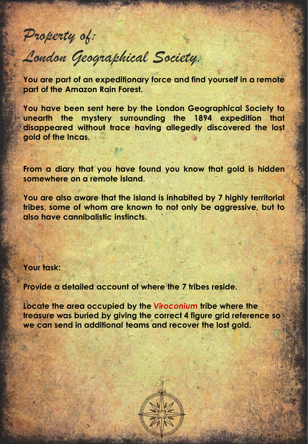## *Property of:*

## *London Geographical Society.*

**You are part of an expeditionary force and find yourself in a remote part of the Amazon Rain Forest.**

**You have been sent here by the London Geographical Society to unearth the mystery surrounding the 1894 expedition that disappeared without trace having allegedly discovered the lost gold of the Incas.**

**From a diary that you have found you know that gold is hidden somewhere on a remote island.**

**You are also aware that the island is inhabited by 7 highly territorial tribes, some of whom are known to not only be aggressive, but to also have cannibalistic instincts.**

## **Your task:**

**Provide a detailed account of where the 7 tribes reside.**

**Locate the area occupied by the** *Viroconium* **tribe where the treasure was buried by giving the correct 4 figure grid reference so we can send in additional teams and recover the lost gold.**